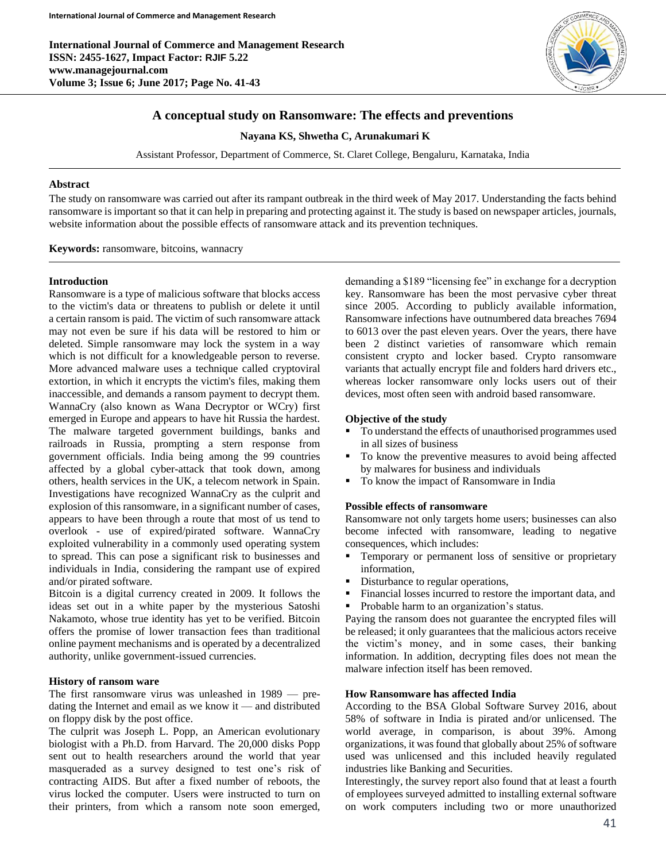**International Journal of Commerce and Management Research ISSN: 2455-1627, Impact Factor: RJIF 5.22 www.managejournal.com Volume 3; Issue 6; June 2017; Page No. 41-43**



# **A conceptual study on Ransomware: The effects and preventions**

**Nayana KS, Shwetha C, Arunakumari K**

Assistant Professor, Department of Commerce, St. Claret College, Bengaluru, Karnataka, India

### **Abstract**

The study on ransomware was carried out after its rampant outbreak in the third week of May 2017. Understanding the facts behind ransomware is important so that it can help in preparing and protecting against it. The study is based on newspaper articles, journals, website information about the possible effects of ransomware attack and its prevention techniques.

**Keywords:** ransomware, bitcoins, wannacry

### **Introduction**

Ransomware is a type of malicious software that blocks access to the victim's data or threatens to publish or delete it until a certain ransom is paid. The victim of such ransomware attack may not even be sure if his data will be restored to him or deleted. Simple ransomware may lock the system in a way which is not difficult for a knowledgeable person to reverse. More advanced malware uses a technique called cryptoviral extortion, in which it encrypts the victim's files, making them inaccessible, and demands a ransom payment to decrypt them. WannaCry (also known as Wana Decryptor or WCry) first emerged in Europe and appears to have hit Russia the hardest. The malware targeted government buildings, banks and railroads in Russia, prompting a stern response from government officials. India being among the 99 countries affected by a global cyber-attack that took down, among others, health services in the UK, a telecom network in Spain. Investigations have recognized WannaCry as the culprit and explosion of this ransomware, in a significant number of cases, appears to have been through a route that most of us tend to overlook - use of expired/pirated software. WannaCry exploited vulnerability in a commonly used operating system to spread. This can pose a significant risk to businesses and individuals in India, considering the rampant use of expired and/or pirated software.

Bitcoin is a digital currency created in 2009. It follows the ideas set out in a white paper by the mysterious Satoshi Nakamoto, whose true identity has yet to be verified. Bitcoin offers the promise of lower transaction fees than traditional online payment mechanisms and is operated by a decentralized authority, unlike government-issued currencies.

## **History of ransom ware**

The first ransomware virus was unleashed in 1989 — predating the Internet and email as we know it — and distributed on floppy disk by the post office.

The culprit was Joseph L. Popp, an American evolutionary biologist with a Ph.D. from Harvard. The 20,000 disks Popp sent out to health researchers around the world that year masqueraded as a survey designed to test one's risk of contracting AIDS. But after a fixed number of reboots, the virus locked the computer. Users were instructed to turn on their printers, from which a ransom note soon emerged, demanding a \$189 "licensing fee" in exchange for a decryption key. Ransomware has been the most pervasive cyber threat since 2005. According to publicly available information, Ransomware infections have outnumbered data breaches 7694 to 6013 over the past eleven years. Over the years, there have been 2 distinct varieties of ransomware which remain consistent crypto and locker based. Crypto ransomware variants that actually encrypt file and folders hard drivers etc., whereas locker ransomware only locks users out of their devices, most often seen with android based ransomware.

# **Objective of the study**

- $\blacksquare$  To understand the effects of unauthorised programmes used in all sizes of business
- To know the preventive measures to avoid being affected by malwares for business and individuals
- To know the impact of Ransomware in India

#### **Possible effects of ransomware**

Ransomware not only targets home users; businesses can also become infected with ransomware, leading to negative consequences, which includes:

- Temporary or permanent loss of sensitive or proprietary information,
- Disturbance to regular operations,
- Financial losses incurred to restore the important data, and
- Probable harm to an organization's status.

Paying the ransom does not guarantee the encrypted files will be released; it only guarantees that the malicious actors receive the victim's money, and in some cases, their banking information. In addition, decrypting files does not mean the malware infection itself has been removed.

#### **How Ransomware has affected India**

According to the BSA Global Software Survey 2016, about 58% of software in India is pirated and/or unlicensed. The world average, in comparison, is about 39%. Among organizations, it was found that globally about 25% of software used was unlicensed and this included heavily regulated industries like Banking and Securities.

Interestingly, the survey report also found that at least a fourth of employees surveyed admitted to installing external software on work computers including two or more unauthorized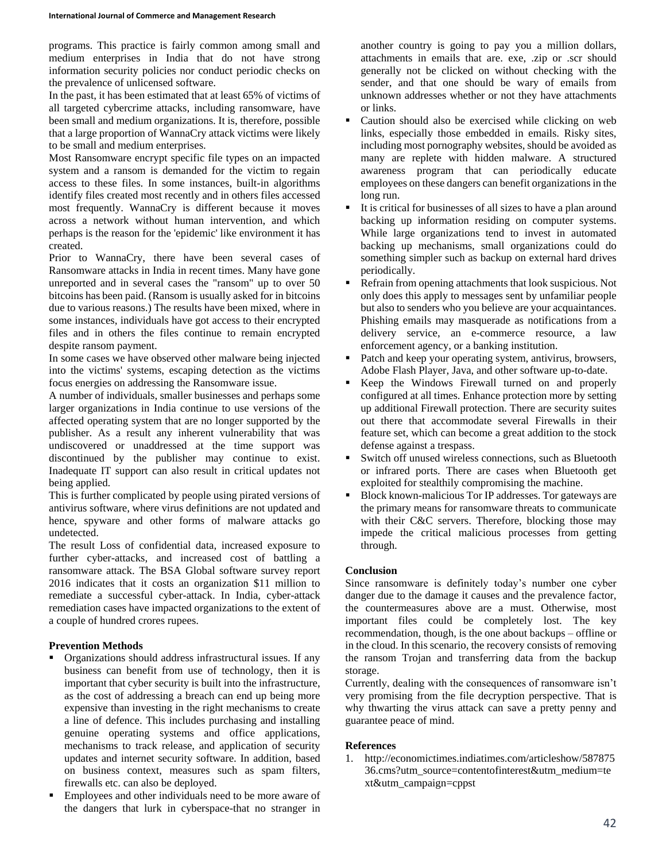programs. This practice is fairly common among small and medium enterprises in India that do not have strong information security policies nor conduct periodic checks on the prevalence of unlicensed software.

In the past, it has been estimated that at least 65% of victims of all targeted cybercrime attacks, including ransomware, have been small and medium organizations. It is, therefore, possible that a large proportion of WannaCry attack victims were likely to be small and medium enterprises.

Most Ransomware encrypt specific file types on an impacted system and a ransom is demanded for the victim to regain access to these files. In some instances, built-in algorithms identify files created most recently and in others files accessed most frequently. WannaCry is different because it moves across a network without human intervention, and which perhaps is the reason for the 'epidemic' like environment it has created.

Prior to WannaCry, there have been several cases of Ransomware attacks in India in recent times. Many have gone unreported and in several cases the "ransom" up to over 50 bitcoins has been paid. (Ransom is usually asked for in bitcoins due to various reasons.) The results have been mixed, where in some instances, individuals have got access to their encrypted files and in others the files continue to remain encrypted despite ransom payment.

In some cases we have observed other malware being injected into the victims' systems, escaping detection as the victims focus energies on addressing the Ransomware issue.

A number of individuals, smaller businesses and perhaps some larger organizations in India continue to use versions of the affected operating system that are no longer supported by the publisher. As a result any inherent vulnerability that was undiscovered or unaddressed at the time support was discontinued by the publisher may continue to exist. Inadequate IT support can also result in critical updates not being applied.

This is further complicated by people using pirated versions of antivirus software, where virus definitions are not updated and hence, spyware and other forms of malware attacks go undetected.

The result Loss of confidential data, increased exposure to further cyber-attacks, and increased cost of battling a ransomware attack. The BSA Global software survey report 2016 indicates that it costs an organization \$11 million to remediate a successful cyber-attack. In India, cyber-attack remediation cases have impacted organizations to the extent of a couple of hundred crores rupees.

## **Prevention Methods**

- Organizations should address infrastructural issues. If any business can benefit from use of technology, then it is important that cyber security is built into the infrastructure, as the cost of addressing a breach can end up being more expensive than investing in the right mechanisms to create a line of defence. This includes purchasing and installing genuine operating systems and office applications, mechanisms to track release, and application of security updates and internet security software. In addition, based on business context, measures such as spam filters, firewalls etc. can also be deployed.
- Employees and other individuals need to be more aware of the dangers that lurk in cyberspace-that no stranger in

another country is going to pay you a million dollars, attachments in emails that are. exe, .zip or .scr should generally not be clicked on without checking with the sender, and that one should be wary of emails from unknown addresses whether or not they have attachments or links.

- Caution should also be exercised while clicking on web links, especially those embedded in emails. Risky sites, including most pornography websites, should be avoided as many are replete with hidden malware. A structured awareness program that can periodically educate employees on these dangers can benefit organizations in the long run.
- It is critical for businesses of all sizes to have a plan around backing up information residing on computer systems. While large organizations tend to invest in automated backing up mechanisms, small organizations could do something simpler such as backup on external hard drives periodically.
- Refrain from opening attachments that look suspicious. Not only does this apply to messages sent by unfamiliar people but also to senders who you believe are your acquaintances. Phishing emails may masquerade as notifications from a delivery service, an e-commerce resource, a law enforcement agency, or a banking institution.
- Patch and keep your operating system, antivirus, browsers, Adobe Flash Player, Java, and other software up-to-date.
- Keep the Windows Firewall turned on and properly configured at all times. Enhance protection more by setting up additional Firewall protection. There are security suites out there that accommodate several Firewalls in their feature set, which can become a great addition to the stock defense against a trespass.
- Switch off unused wireless connections, such as Bluetooth or infrared ports. There are cases when Bluetooth get exploited for stealthily compromising the machine.
- Block known-malicious Tor IP addresses. Tor gateways are the primary means for ransomware threats to communicate with their C&C servers. Therefore, blocking those may impede the critical malicious processes from getting through.

## **Conclusion**

Since ransomware is definitely today's number one cyber danger due to the damage it causes and the prevalence factor, the countermeasures above are a must. Otherwise, most important files could be completely lost. The key recommendation, though, is the one about backups – offline or in the cloud. In this scenario, the recovery consists of removing the ransom Trojan and transferring data from the backup storage.

Currently, dealing with the consequences of ransomware isn't very promising from the file decryption perspective. That is why thwarting the virus attack can save a pretty penny and guarantee peace of mind.

## **References**

1. http://economictimes.indiatimes.com/articleshow/587875 36.cms?utm\_source=contentofinterest&utm\_medium=te xt&utm\_campaign=cppst